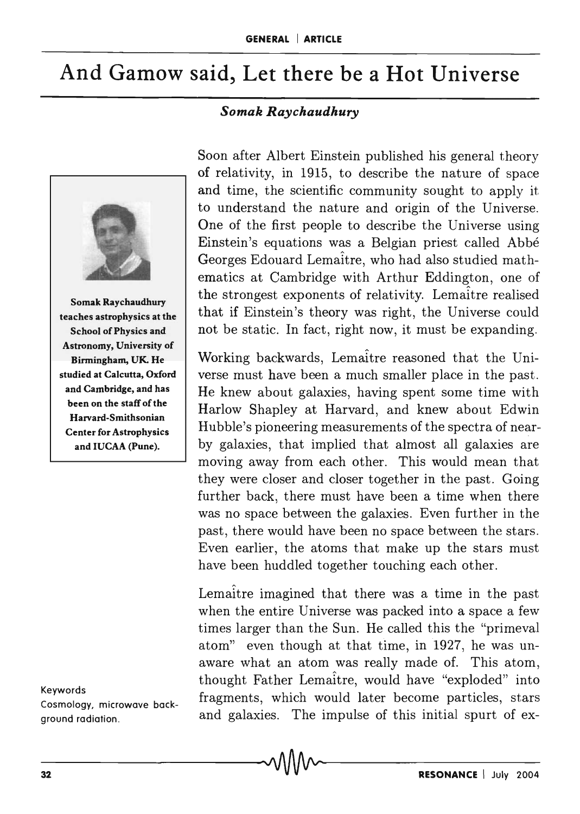# **And Gamow said, Let there be a Hot Universe**

### *Somak Raychaudhury*



Somak Raychaudhury teaches astrophysics at the School of Physics and Astronomy, University of Birmingham, UK. He studied at Calcutta, Oxford and Cambridge, and has been on the staff of the Harvard-Smithsonian Center for Astrophysics and IUCAA (Pune).

Keywords Cosmology, microwave background radiation.

Soon after Albert Einstein published his general theory of relativity, in 1915, to describe the nature of space and time, the scientific community sought to apply it to understand the nature and origin of the Universe. One of the first people to describe the Universe using Einstein's equations was a Belgian priest called Abbe Georges Edouard Lemaitre, who had also studied mathematics at Cambridge with Arthur Eddington, one of the strongest exponents of relativity. Lemaitre realised that if Einstein's theory was right, the Universe could not be static. In fact, right now, it must be expanding.

Working backwards, Lemaitre reasoned that the Universe must have been a much smaller place in the past. He knew about galaxies, having spent some time with Harlow Shapley at Harvard, and knew about Edwin Hubble's pioneering measurements of the spectra of nearby galaxies, that implied that almost all galaxies are moving away from each other. This would mean that they were closer and closer together in the past. Going further back, there must have been a time when there was no space between the galaxies. Even further in the past, there would have been no space between the stars. Even earlier, the atoms that make up the stars must have been huddled together touching each other.

Lemaitre imagined that there was a time in the past when the entire Universe was packed into a space a few times larger than the Sun. He called this the "primeval atom" even though at that time, in 1927, he was unaware what an atom was really made of. This atom, thought Father Lemaitre, would have "exploded" into fragments, which would later become particles, stars and galaxies. The impulse of this initial spurt of ex-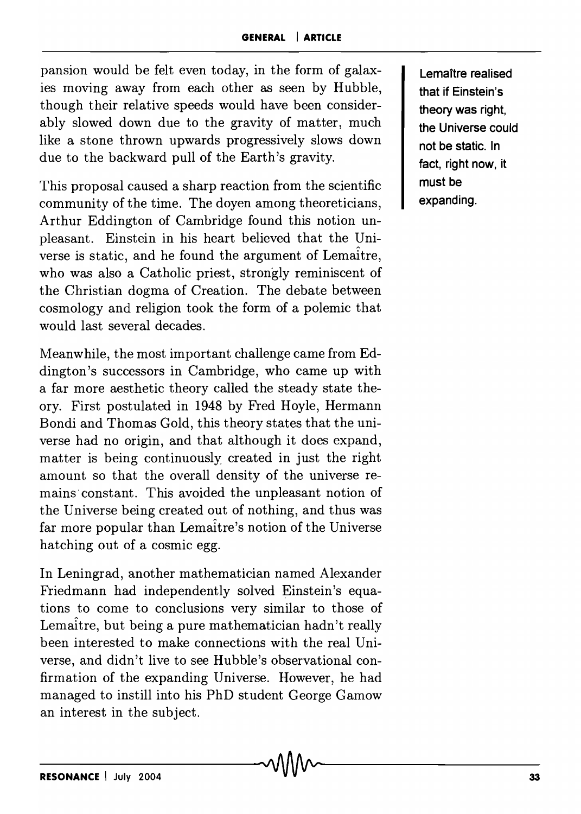pansion would be felt even today, in the form of galaxies moving away from each other as seen by Hubble, though their relative speeds would have been considerably slowed down due to the gravity of matter, much like a stone thrown upwards progressively slows down due to the backward pull of the Earth's gravity.

This proposal caused a sharp reaction from the scientific community of the time. The doyen among theoreticians, Arthur Eddington of Cambridge found this notion unpleasant. Einstein in his heart believed that the Universe is static, and he found the argument of Lemaitre, who was also a Catholic priest, strongly reminiscent of the Christian dogma of Creation. The debate between cosmology and religion took the form of a polemic that would last several decades.

Meanwhile, the most important challenge came from Eddington's successors in Cambridge, who came up with a far more aesthetic theory called the steady state theory. First postulated in 1948 by Fred Hoyle, Hermann Bondi and Thomas Gold, this theory states that the universe had no origin, and that although it does expand, matter is being continuously created in just the right amount so that the overall density of the universe remains' constant. This avoided the unpleasant notion of the Universe being created out of nothing, and thus was far more popular than Lemaitre's notion of the Universe hatching out of a cosmic egg.

In Leningrad, another mathematician named Alexander Friedmann had independently solved Einstein's equations to come to conclusions very similar to those of Lemaitre, but being a pure mathematician hadn't really been interested to make connections with the real Universe, and didn't live to see Hubble's observational confirmation of the expanding Universe. However, he had managed to instill into his PhD student George Gamow an interest in the subject.

Lemaitre realised that if Einstein's theory was right, the Universe could not be static. In fact, right now, it must be expanding.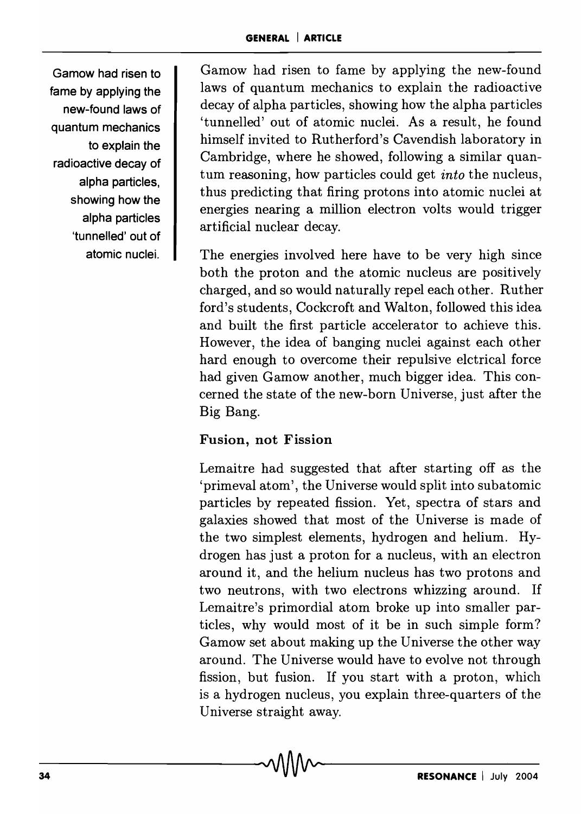Gamow had risen to fame by applying the new-found laws of quantum mechanics to explain the radioactive decay of alpha particles, showing how the alpha particles 'tunnelled' out of atomic nuclei. Gamow had risen to fame by applying the new-found laws of quantum mechanics to explain the radioactive decay of alpha particles, showing how the alpha particles 'tunnelled' out of atomic nuclei. As a result, he found himself invited to Rutherford's Cavendish laboratory in Cambridge, where he showed, following a similar quantum reasoning, how particles could get *into* the nucleus, thus predicting that firing protons into atomic nuclei at energies nearing a million electron volts would trigger artificial nuclear decay.

The energies involved here have to be very high since both the proton and the atomic nucleus are positively charged, and so would naturally repel each other. Ruther ford's students, Cockcroft and Walton, followed this idea and built the first particle accelerator to achieve this. However, the idea of banging nuclei against each other hard enough to overcome their repulsive elctrical force had given Gamow another, much bigger idea. This concerned the state of the new-born Universe, just after the Big Bang.

# Fusion, not Fission

Lemaitre had suggested that after starting off as the 'primeval atom', the Universe would split into subatomic particles by repeated fission. Yet, spectra of stars and galaxies showed that most of the Universe is made of the two simplest elements, hydrogen and helium. Hydrogen has just a proton for a nucleus, with an electron around it, and the helium nucleus has two protons and two neutrons, with two electrons whizzing around. If Lemaitre's primordial atom broke up into smaller particles, why would most of it be in such simple form? Gamow set about making up the Universe the other way around. The Universe would have to evolve not through fission, but fusion. If you start with a proton, which is a hydrogen nucleus, you explain three-quarters of the Universe straight away.  $\sim$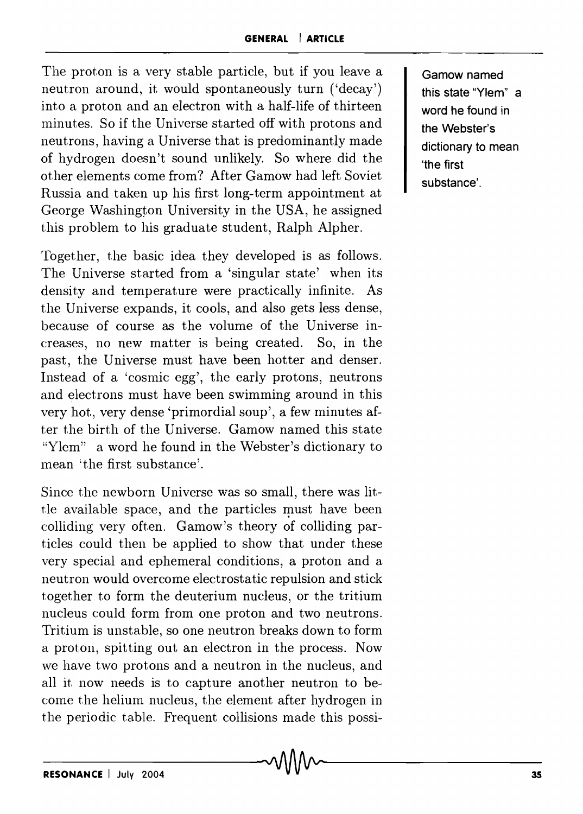The proton is a very stable particle, but if you leave a neutron around, it would spontaneously turn ('decay') into a proton and an electron with a half-life of thirteen minutes. So if the Universe started off with protons and neutrons, having a Universe that is predominantly made of hydrogen doesn't sound unlikely. So where did the other elements come from? After Gamow had left Soviet Russia and taken up his first long-term appointment at George Washington University in the USA, he assigned this problem to his graduate student, Ralph Alpher.

Together, the basic idea they developed is as follows. The Universe started from a 'singular state' when its density and temperature were practically infinite. As the Universe expands, it cools, and also gets less dense, because of course as the volume of the Universe increases, no new matter is being created. So, in the past, the Universe must have been hotter and denser. Instead of a 'cosmic egg', the early protons, neutrons and electrons must have been swimming around in this very hot, very dense 'primordial soup', a few minutes after the birth of the Universe. Gamow named this state "Ylem" a word he found in the Webster's dictionary to mean 'the first substance'.

Since the newborn Universe was so small, there was little available space, and the particles must have been colliding very often. Gamow's theory of colliding particles could then be applied to show that under these very special and ephemeral conditions, a proton and a neutron would overcome electrostatic repulsion and stick together to form the deuterium nucleus, or the tritium nucleus could form from one proton and two neutrons. Tritium is unstable, so one neutron breaks down to form a proton, spitting out an electron in the process. Now we have two protons and a neutron in the nucleus, and all it now needs is to capture another neutron to become the helium nucleus, the element after hydrogen in the periodic table. Frequent collisions made this possi-

Gamow named this state "Ylem" a word he found in the Webster's dictionary to mean 'the first substance'.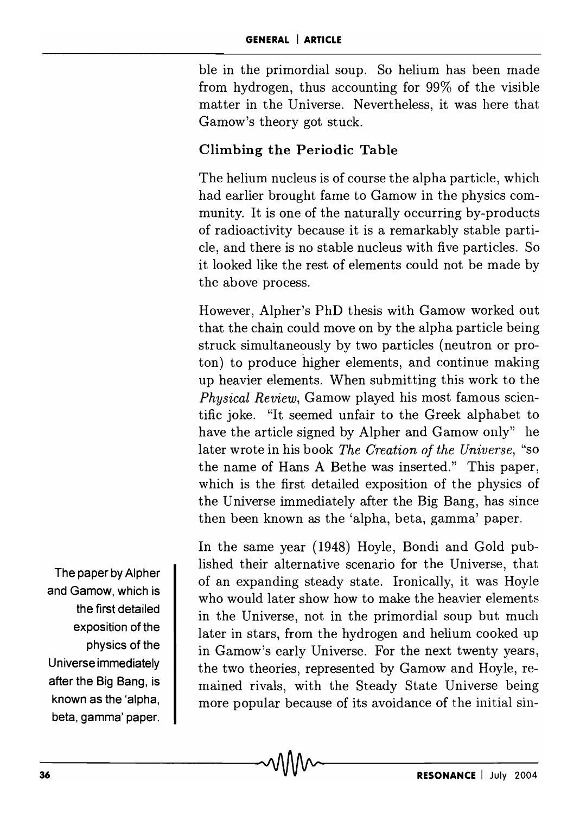ble in the primordial soup. So helium has been made from hydrogen, thus accounting for 99% of the visible matter in the Universe. Nevertheless, it was here that Gamow's theory got stuck.

### Climbing the Periodic Table

The helium nucleus is of course the alpha particle, which had earlier brought fame to Gamow in the physics community. It is one of the naturally occurring by-products of radioactivity because it is a remarkably stable particle, and there is no stable nucleus with five particles. So it looked like the rest of elements could not be made by the above process.

However, Alpher's PhD thesis with Gamow worked out that the chain could move on by the alpha particle being struck simultaneously by two particles (neutron or proton) to produce higher elements, and continue making up heavier elements. When submitting this work to the *Physical Review,* Gamow played his most famous scientific joke. "It seemed unfair to the Greek alphabet to have the article signed by Alpher and Gamow only" he later wrote in his book *The Creation of the Universe,* "so the name of Hans A Bethe was inserted." This paper, which is the first detailed exposition of the physics of the Universe immediately after the Big Bang, has since then been known as the 'alpha, beta, gamma' paper.

In the same year (1948) Hoyle, Bondi and Gold published their alternative scenario for the Universe, that of an expanding steady state. Ironically, it was Hoyle who would later show how to make the heavier elements in the Universe, not in the primordial soup but much later in stars, from the hydrogen and helium cooked up in Gamow's early Universe. For the next twenty years, the two theories, represented by Gamow and Hoyle, remained rivals, with the Steady State Universe being more popular because of its avoidance of the initial sin-

The paper by Alpher and Gamow, which is the first detailed exposition of the physics of the Universe immediately after the Big Bang, is known as the 'alpha, beta, gamma' paper.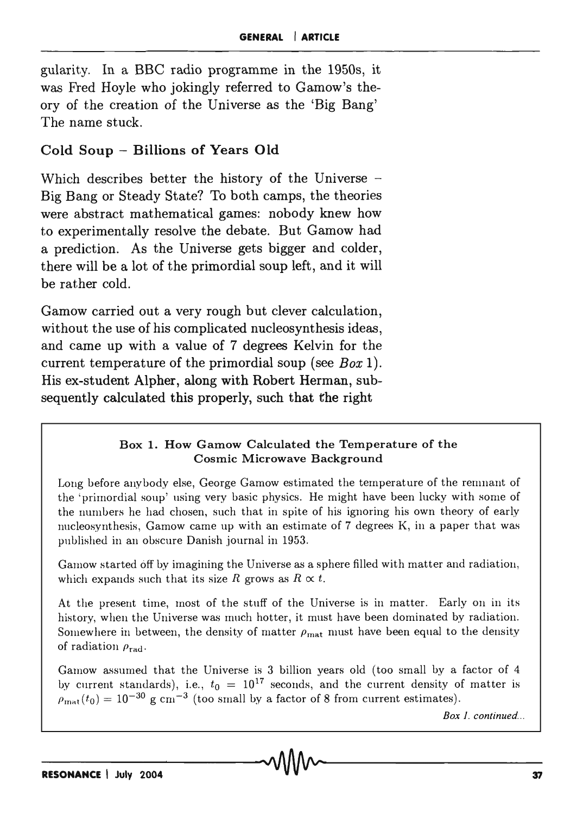gularity. In a BBC radio programme in the 19508, it was Fred Hoyle who jokingly referred to Gamow's theory of the creation of the Universe as the 'Big Bang' The name stuck.

### Cold Soup - Billions of Years Old

Which describes better the history of the Universe -Big Bang or Steady State? To both camps, the theories were abstract mathematical games: nobody knew how to experimentally resolve the debate. But Gamow had a prediction. As the Universe gets bigger and colder, there will be a lot of the primordial soup left, and it will be rather cold.

Gamow carried out a very rough but clever calculation, without the use of his complicated nucleosynthesis ideas, and came up with a value of 7 degrees Kelvin for the current temperature of the primordial soup (see *Box 1).*  His ex-student Alpher, along with Robert Herman, subsequently calculated this properly, such that the right

### Box 1. How Gamow Calculated the Temperature of the Cosmic Microwave Background

Long before anybody else, George Gamow estimated the temperature of the remnant of the 'primordial soup' using very basic physics. He might have been lucky with some of the numbers he had chosen, such that in spite of his ignoring his own theory of early nucleosynthesis, Gamow came up with an estimate of 7 degrees K, in a paper that was published in an obscure Danish journal in 1953.

Gamow started off by imagining the Universe as a sphere filled with matter and radiation, which expands such that its size R grows as  $R \propto t$ .

At the present time, most of the stuff of the Universe is in matter. Early on in its history, when the Universe was much hotter, it must have been dominated by radiation. Somewhere in between, the density of matter  $\rho_{\text{mat}}$  must have been equal to the density of radiation  $\rho_{\text{rad}}$ .

Gamow assumed that the Universe is 3 billion years old (too small by a factor of 4 by current standards), i.e.,  $t_0 = 10^{17}$  seconds, and the current density of matter is  $\rho_{\text{mat}}(t_0) = 10^{-30}$  g cm<sup>-3</sup> (too small by a factor of 8 from current estimates).

*Box* J. *continued. ..*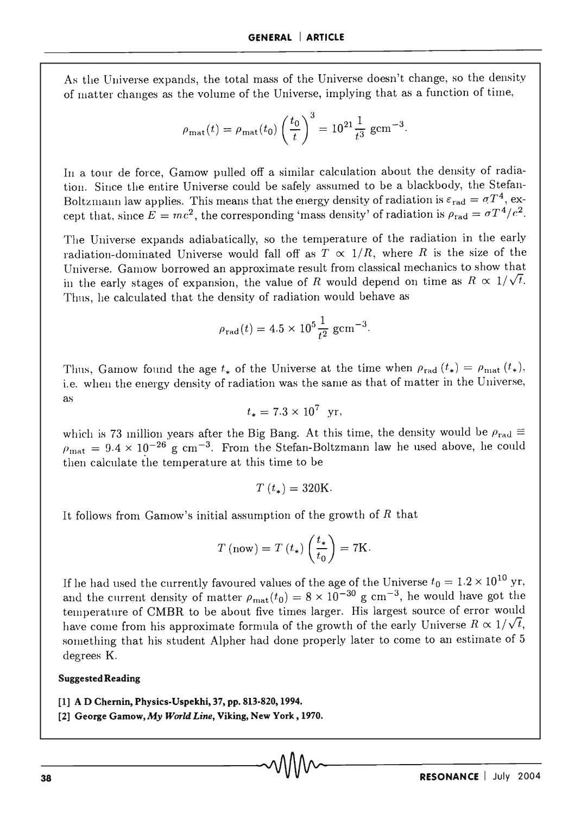As the Universe expands, the total mass of the Universe doesn't change, so the density of matter changes as the volume of the Universe, implying that as a function of time,

$$
\rho_{\rm mat}(t) = \rho_{\rm mat}(t_0) \left(\frac{t_0}{t}\right)^3 = 10^{21} \frac{1}{t^3} \text{ gcm}^{-3}.
$$

In a tour de force, Gamow pulled off a similar calculation about the density of radiation. Since the entire Universe could be safely assumed to be a blackbody, the Stefan-Boltzmann law applies. This means that the energy density of radiation is  $\varepsilon_{\rm rad} = \sigma T^4$ , except that, since  $E = mc^2$ , the corresponding 'mass density' of radiation is  $\rho_{rad} = \sigma T^4/c^2$ .

The Universe expands adiabatically, so the temperature of the radiation in the early radiation-dominated Universe would fall off as  $T \propto 1/R$ , where R is the size of the Universe. Gamow borrowed an approximate result from classical mechanics to show that in the early stages of expansion, the value of R would depend on time as  $R \propto 1/\sqrt{t}$ . Thus, he calculated that the density of radiation would behave as

$$
\rho_{\rm rad}(t) = 4.5 \times 10^5 \frac{1}{t^2} \, \text{gcm}^{-3}.
$$

Thus, Gamow found the age  $t_*$  of the Universe at the time when  $\rho_{rad} (t_*) = \rho_{mat} (t_*)$ , i.e. when the energy density of radiation was the same as that of matter in the Universe, as

$$
t_* = 7.3 \times 10^7
$$
 yr,

which is 73 million years after the Big Bang. At this time, the density would be  $\rho_{\rm rad} \equiv$  $\rho_{\text{mat}} = 9.4 \times 10^{-26} \text{ g cm}^{-3}$ . From the Stefan-Boltzmann law he used above, he could then calculate the temperature at this time to be

$$
T(t_*)=320\mathrm{K}.
$$

It follows from Gamow's initial assumption of the growth of *R* that

$$
T\left(\text{now}\right) = T\left(t_*\right) \left(\frac{t_*}{t_0}\right) = 7\text{K}.
$$

If he had used the currently favoured values of the age of the Universe  $t_0 = 1.2 \times 10^{10}$  yr, and the current density of matter  $\rho_{mat}(t_0) = 8 \times 10^{-30}$  g cm<sup>-3</sup>, he would have got the temperature of CMBR to be about five times larger. His largest soutce of error would have come from his approximate formula of the growth of the early Universe  $R \propto 1/\sqrt{t}$ , something that his student Alpher had done properly later to come to an estimate of 5 degrees K.

#### **Suggested Reading**

- **[1] A D Chemin, Physics-Uspekhi, 37, pp. 813-820,1994.**
- **[2] George Gamow,My** *World Line,* **Viking, New York, 1970.**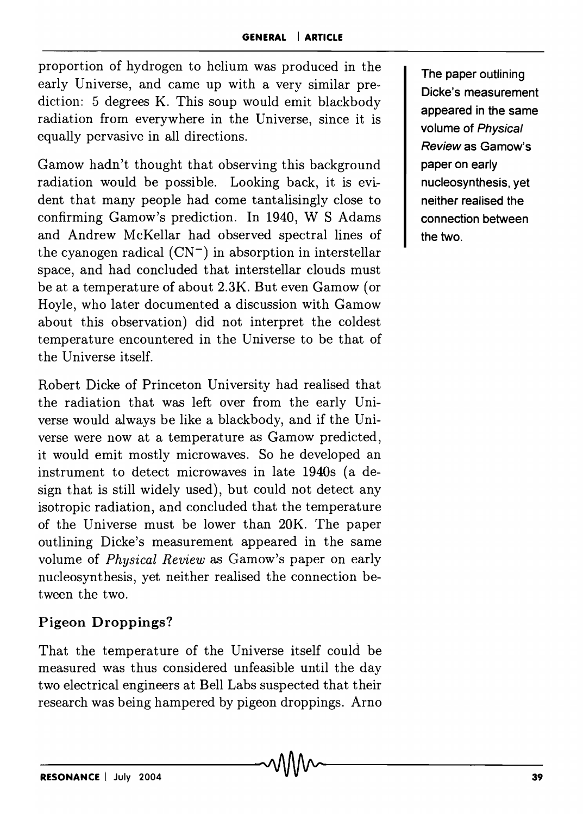proportion of hydrogen to helium was produced in the early Universe, and came up with a very similar prediction: 5 degrees K. This soup would emit blackbody radiation from everywhere in the Universe, since it is equally pervasive in all directions.

Gamow hadn't thought that observing this background radiation would be possible. Looking back, it is evident that many people had come tantalisingly close to confirming Gamow's prediction. In 1940, W 8 Adams and Andrew McKellar had observed spectral lines of the cyanogen radical  $(CN^-)$  in absorption in interstellar space, and had concluded that interstellar clouds must be at a temperature of about *2.3K.* But even Gamow (or Hoyle, who later documented a discussion with Gamow about this observation) did not interpret the coldest temperature encountered in the Universe to be that of the Universe itself.

Robert Dicke of Princeton University had realised that the radiation that was left over from the early Universe would always be like a blackbody, and if the Universe were now at a temperature as Gamow predicted, it would emit mostly microwaves. 80 he developed an instrument to detect microwaves in late 1940s (a design that is still widely used), but could not detect any isotropic radiation, and concluded that the temperature of the Universe must be lower than *20K.* The paper outlining Dicke's measurement appeared in the same volume of *Physical Review* as Gamow's paper on early nucleosynthesis, yet neither realised the connection between the two.

# Pigeon Droppings?

That the temperature of the Universe itself could be measured was thus considered unfeasible until the day two electrical engineers at Bell Labs suspected that their research was being hampered by pigeon droppings. Arno The paper outlining Dicke's measurement appeared in the same volume of Physical Review as Gamow's paper on early nucleosynthesis, yet neither realised the connection between the two.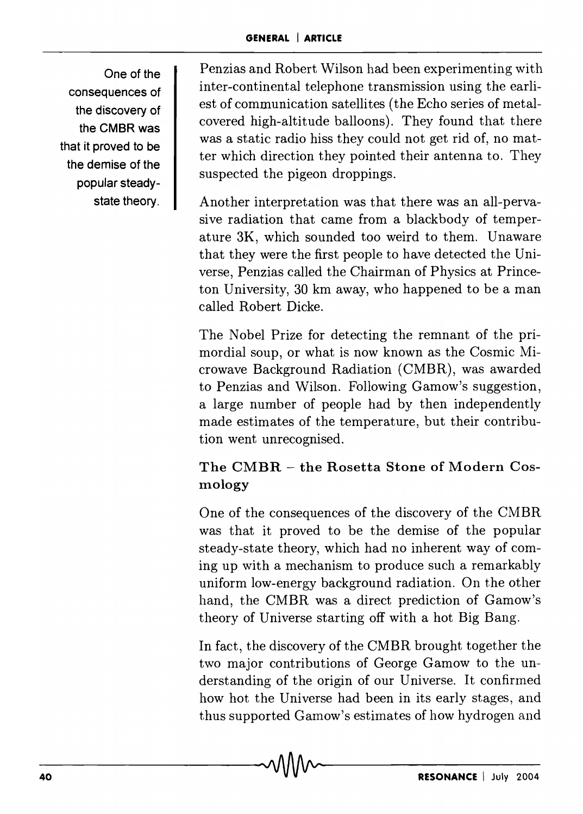One of the consequences of the discovery of the CMBR was that it proved to be the demise of the popular steadystate theory.

Penzias and Robert Wilson had been experimenting with inter-continental telephone transmission using the earliest of communication satellites (the Echo series of metalcovered high-altitude balloons). They found that there was a static radio hiss they could not get rid of, no matter which direction they pointed their antenna to. They suspected the pigeon droppings.

Another interpretation was that there was an all-pervasive radiation that came from a blackbody of temperature 3K, which sounded too weird to them. Unaware that they were the first people to have detected the Universe, Penzias called the Chairman of Physics at Princeton University, 30 km away, who happened to be a man called Robert Dicke.

The Nobel Prize for detecting the remnant of the primordial soup, or what is now known as the Cosmic Microwave Background Radiation (CMBR), was awarded to Penzias and Wilson. Following Gamow's suggestion, a large number of people had by then independently made estimates of the temperature, but their contribution went unrecognised.

# The CMBR - the Rosetta Stone of Modern Cosmology

One of the consequences of the discovery of the CMBR was that it proved to be the demise of the popular steady-state theory, which had no inherent way of coming up with a mechanism to produce such a remarkably uniform low-energy background radiation. On the other hand, the CMBR was a direct prediction of Gamow's theory of Universe starting off with a hot Big Bang.

In fact, the discovery of the CMBR brought together the two major contributions of George Gamow to the understanding of the origin of our Universe. It confirmed how hot the Universe had been in its early stages, and thus supported Gamow's estimates of how hydrogen and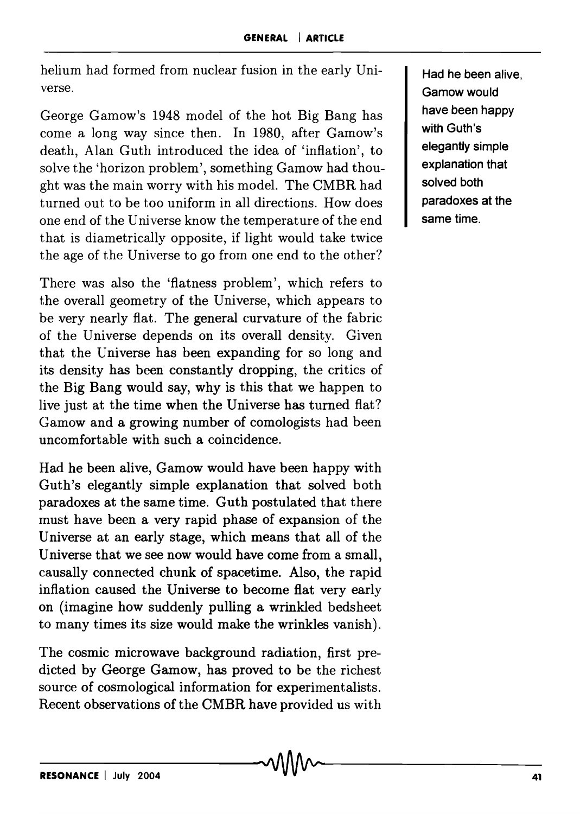helium had formed from nuclear fusion in the early Universe.

George Gamow's 1948 model of the hot Big Bang has come a long way since then. In 1980, after Gamow's death, Alan Guth introduced the idea of 'inflation', to solve the 'horizon problem', something Gamow had thought was the main worry with his model. The CMBR had turned out to be too uniform in all directions. How does one end of the Universe know the temperature of the end that is diametrically opposite, if light would take twice the age of the Universe to go from one end to the other?

There was also the 'flatness problem', which refers to the overall geometry of the Universe, which appears to be very nearly flat. The general curvature of the fabric of the Universe depends on its overall density. Given that the Universe has been expanding for so long and its density has been constantly dropping, the critics of the Big Bang would say, why is this that we happen to live just at the time when the Universe has turned flat? Gamow and a growing number of comologists had been uncomfortable with such a coincidence.

Had he been alive, Gamow would have been happy with Guth's elegantly simple explanation that solved both paradoxes at the same time. Guth postulated that there must have been a very rapid phase of expansion of the Universe at an early stage, which means that all of the Universe that we see now would have come from a small, causally connected chunk of spacetime. Also, the rapid inflation caused the Universe to become flat very early on (imagine how suddenly pulling a wrinkled bedsheet to many times its size would make the wrinkles vanish).

The cosmic microwave background radiation, first predicted by George Gamow, has proved to be the richest source of cosmological information for experimentalists. Recent observations of the CMBR have provided us with

Had he been alive, Gamow would have been happy with Guth's elegantly simple explanation that solved both paradoxes at the same time.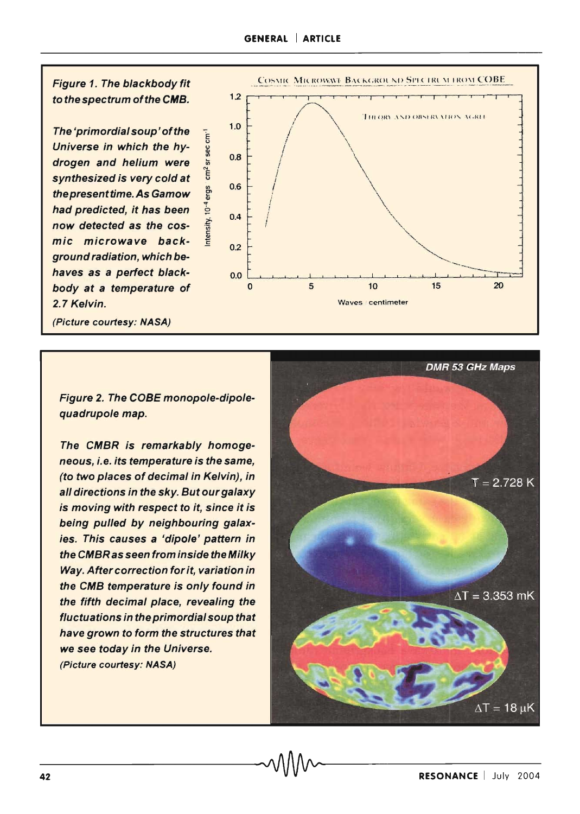Figure 1. The blackbody fit to the spectrum of the CMB.  $1.2$ 

The 'primordial soup' of the  $\frac{1}{2}$  1.0 Universe in which the hy $d$ rogen and helium were  $\frac{8}{9}$  0.8 synthesized is very cold at the present time. As Gamow had predicted, it has been now detected as the cosmic microwave background radiation, which behaves as a perfect black- 0.0 body at a temperature of 0 2.7 Kelvin.



(Picture courtesy: NASA)

#### Figure 2. The COBE monopole-dipolequadrupole map.

The CMBR is remarkably homogeneous, i.e. its temperature is the same, (to two places of decimal in Kelvin), in all directions in the sky. But our galaxy is moving with respect to it, since it is being pulled by neighbouring galaxies. This causes a 'dipole' pattern in the CMBR as seen from inside the Milky Way. After correction for it, variation in the CMB temperature is only found in the fifth decimal place, revealing the fluctuations in the primordial soup that have grown to form the structures that we see today in the Universe. (Picture courtesy: NASA)